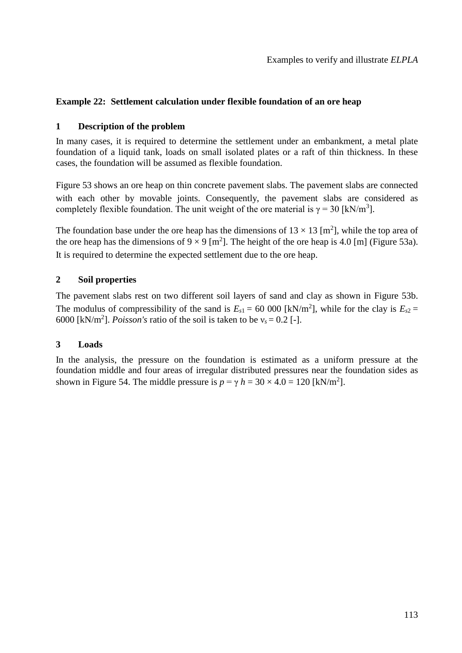# **Example 22: Settlement calculation under flexible foundation of an ore heap**

## **1 Description of the problem**

In many cases, it is required to determine the settlement under an embankment, a metal plate foundation of a liquid tank, loads on small isolated plates or a raft of thin thickness. In these cases, the foundation will be assumed as flexible foundation.

[Figure 53](#page-1-0) shows an ore heap on thin concrete pavement slabs. The pavement slabs are connected with each other by movable joints. Consequently, the pavement slabs are considered as completely flexible foundation. The unit weight of the ore material is  $\gamma = 30$  [kN/m<sup>3</sup>].

The foundation base under the ore heap has the dimensions of  $13 \times 13$  [m<sup>2</sup>], while the top area of the ore heap has the dimensions of  $9 \times 9$  [m<sup>2</sup>]. The height of the ore heap is 4.0 [m] [\(Figure 53a](#page-1-0)). It is required to determine the expected settlement due to the ore heap.

## **2 Soil properties**

The pavement slabs rest on two different soil layers of sand and clay as shown in [Figure 53b](#page-1-0). The modulus of compressibility of the sand is  $E_{s1} = 60,000$  [kN/m<sup>2</sup>], while for the clay is  $E_{s2} =$ 6000 [kN/m<sup>2</sup>]. *Poisson's* ratio of the soil is taken to be  $v_s = 0.2$  [-].

### **3 Loads**

In the analysis, the pressure on the foundation is estimated as a uniform pressure at the foundation middle and four areas of irregular distributed pressures near the foundation sides as shown in [Figure 54.](#page-2-0) The middle pressure is  $p = \gamma h = 30 \times 4.0 = 120$  [kN/m<sup>2</sup>].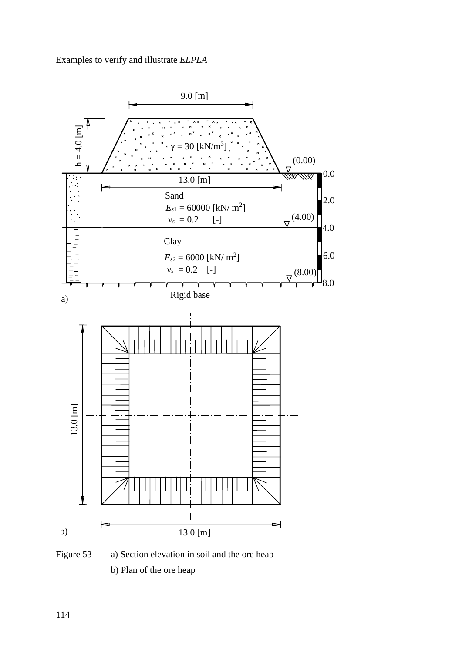Examples to verify and illustrate *ELPLA*



<span id="page-1-0"></span>Figure 53 a) Section elevation in soil and the ore heap b) Plan of the ore heap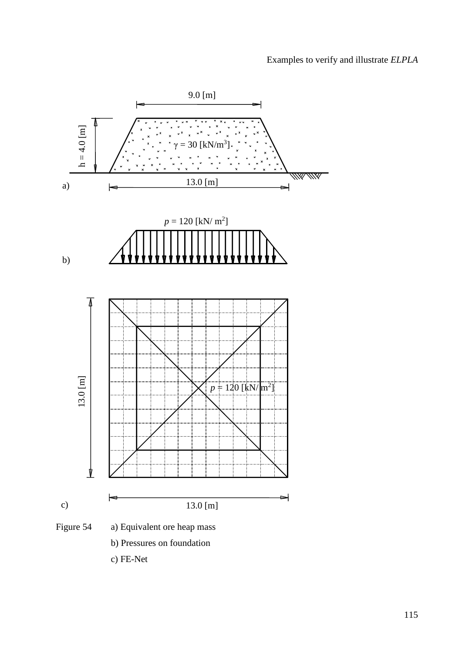<span id="page-2-0"></span>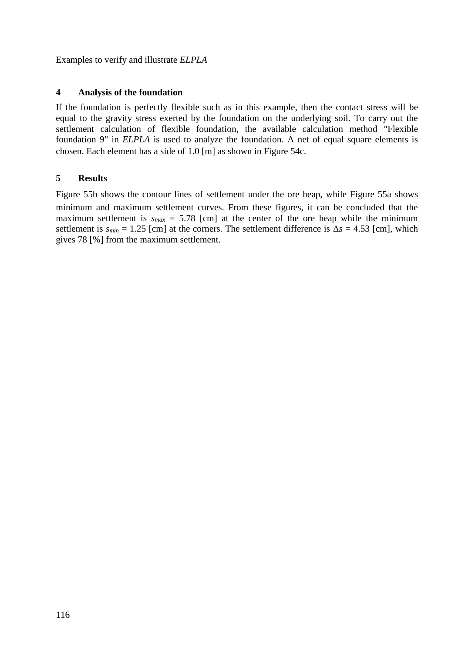Examples to verify and illustrate *ELPLA*

#### **4 Analysis of the foundation**

If the foundation is perfectly flexible such as in this example, then the contact stress will be equal to the gravity stress exerted by the foundation on the underlying soil. To carry out the settlement calculation of flexible foundation, the available calculation method "Flexible foundation 9" in *ELPLA* is used to analyze the foundation. A net of equal square elements is chosen. Each element has a side of 1.0 [m] as shown in [Figure 54c](#page-2-0).

#### **5 Results**

[Figure 55b](#page-4-0) shows the contour lines of settlement under the ore heap, while [Figure 55a](#page-4-0) shows minimum and maximum settlement curves. From these figures, it can be concluded that the maximum settlement is  $s_{max} = 5.78$  [cm] at the center of the ore heap while the minimum settlement is  $s_{min} = 1.25$  [cm] at the corners. The settlement difference is  $\Delta s = 4.53$  [cm], which gives 78 [%] from the maximum settlement.